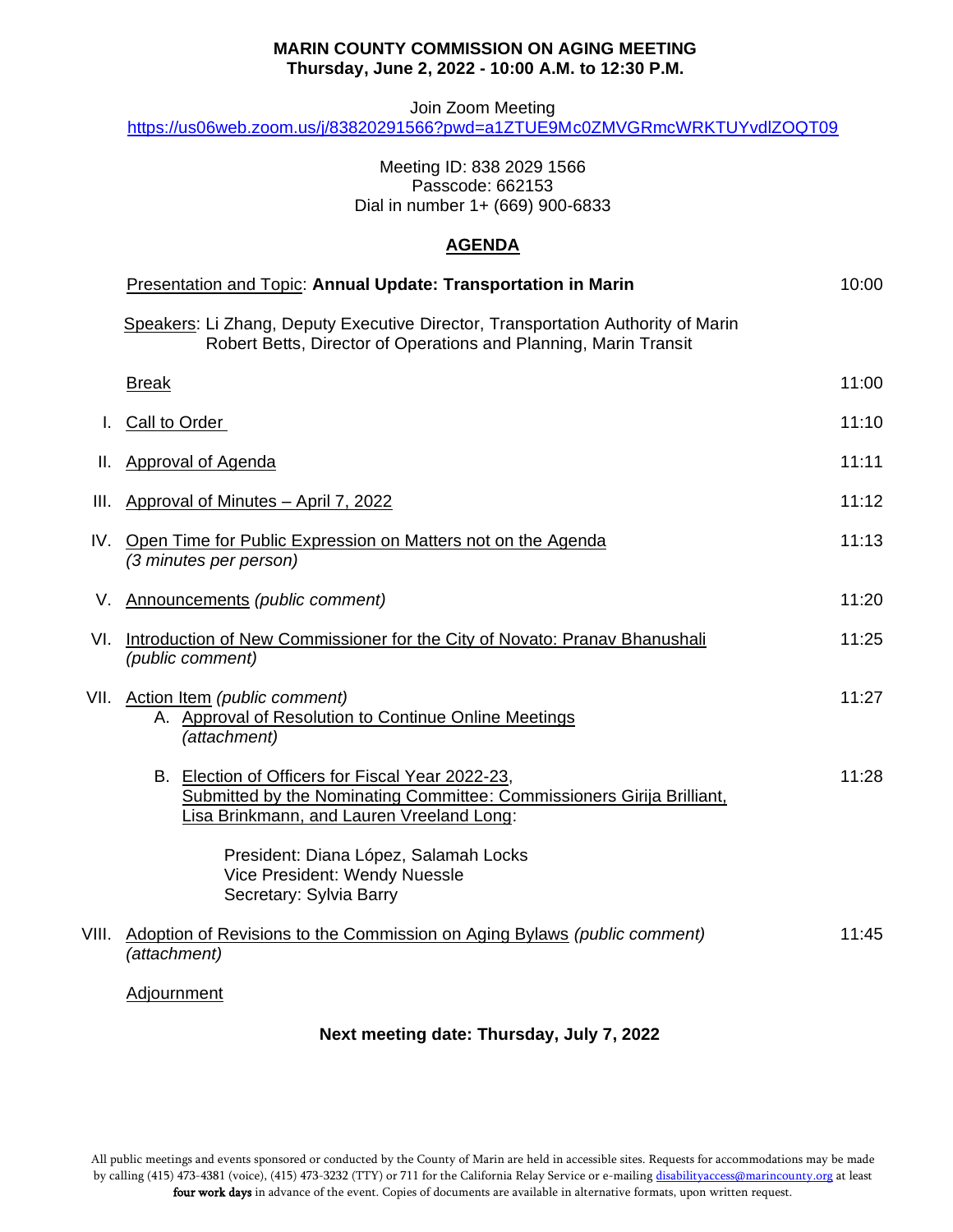## **MARIN COUNTY COMMISSION ON AGING MEETING Thursday, June 2, 2022 - 10:00 A.M. to 12:30 P.M.**

Join Zoom Meeting

<https://us06web.zoom.us/j/83820291566?pwd=a1ZTUE9Mc0ZMVGRmcWRKTUYvdlZOQT09>

# Meeting ID: 838 2029 1566 Passcode: 662153 Dial in number 1+ (669) 900-6833

# **AGENDA**

|       | Presentation and Topic: Annual Update: Transportation in Marin                                                                                                          | 10:00 |
|-------|-------------------------------------------------------------------------------------------------------------------------------------------------------------------------|-------|
|       | Speakers: Li Zhang, Deputy Executive Director, Transportation Authority of Marin<br>Robert Betts, Director of Operations and Planning, Marin Transit                    |       |
|       | <b>Break</b>                                                                                                                                                            | 11:00 |
|       | <b>Call to Order</b>                                                                                                                                                    | 11:10 |
| Ш.    | <b>Approval of Agenda</b>                                                                                                                                               | 11:11 |
| Ш.    | Approval of Minutes - April 7, 2022                                                                                                                                     | 11:12 |
| IV.   | Open Time for Public Expression on Matters not on the Agenda<br>(3 minutes per person)                                                                                  | 11:13 |
| V.    | Announcements (public comment)                                                                                                                                          | 11:20 |
| VI.   | Introduction of New Commissioner for the City of Novato: Pranav Bhanushali<br>(public comment)                                                                          | 11:25 |
|       | VII. Action Item (public comment)<br>A. Approval of Resolution to Continue Online Meetings<br>(attachment)                                                              | 11:27 |
|       | B. Election of Officers for Fiscal Year 2022-23,<br>Submitted by the Nominating Committee: Commissioners Girija Brilliant,<br>Lisa Brinkmann, and Lauren Vreeland Long: | 11:28 |
|       | President: Diana López, Salamah Locks<br>Vice President: Wendy Nuessle<br>Secretary: Sylvia Barry                                                                       |       |
| VIII. | Adoption of Revisions to the Commission on Aging Bylaws (public comment)<br>(attachment)                                                                                | 11:45 |
|       | Adjournment                                                                                                                                                             |       |

# **Next meeting date: Thursday, July 7, 2022**